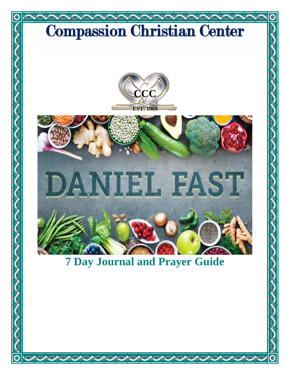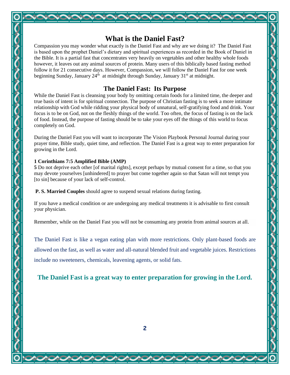## **What is the Daniel Fast?**

Compassion you may wonder what exactly is the Daniel Fast and why are we doing it? The Daniel Fast is based upon the prophet Daniel's dietary and spiritual experiences as recorded in the Book of Daniel in the Bible. It is a partial fast that concentrates very heavily on vegetables and other healthy whole foods however, it leaves out any animal sources of protein. Many users of this biblically based fasting method follow it for 21 consecutive days. However, Compassion, we will follow the Daniel Fast for one week beginning Sunday, January  $24<sup>th</sup>$  at midnight through Sunday, January  $31<sup>st</sup>$  at midnight.

### **The Daniel Fast: Its Purpose**

While the Daniel Fast is cleansing your body by omitting certain foods for a limited time, the deeper and true basis of intent is for spiritual connection. The purpose of Christian fasting is to seek a more intimate relationship with God while ridding your physical body of unnatural, self-gratifying food and drink. Your focus is to be on God, not on the fleshly things of the world. Too often, the focus of fasting is on the lack of food. Instead, the purpose of fasting should be to take your eyes off the things of this world to focus completely on God.

During the Daniel Fast you will want to incorporate The Vision Playbook Personal Journal during your prayer time, Bible study, quiet time, and reflection. The Daniel Fast is a great way to enter preparation for growing in the Lord.

### **1 Corinthians 7:5 Amplified Bible (AMP)**

**5** Do not deprive each other [of marital rights], except perhaps by mutual consent for a time, so that you may devote yourselves [unhindered] to prayer but come together again so that Satan will not tempt you [to sin] because of your lack of self-control.

**P. S. Married Couples** should agree to suspend sexual relations during fasting.

If you have a medical condition or are undergoing any medical treatments it is advisable to first consult your physician.

Remember, while on the Daniel Fast you will not be consuming any protein from animal sources at all.

The Daniel Fast is like a vegan eating plan with more restrictions. Only plant-based foods are allowed on the fast, as well as water and all-natural blended fruit and vegetable juices. Restrictions include no sweeteners, chemicals, leavening agents, or solid fats.

**The Daniel Fast is a great way to enter preparation for growing in the Lord.**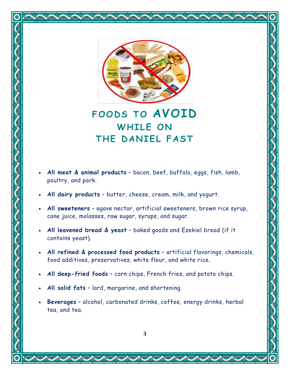

## **FOODS TO AVOID WHILE ON THE DANIEL FAST**

- **All meat & animal products** bacon, beef, buffalo, eggs, fish, lamb, poultry, and pork.
- **All dairy products** butter, cheese, cream, milk, and yogurt.
- **All sweeteners** agave nectar, artificial sweeteners, brown rice syrup, cane juice, molasses, raw sugar, syrups, and sugar.
- **All leavened bread & yeast** baked goods and Ezekiel bread (if it contains yeast).
- **All refined & processed food products** artificial flavorings, chemicals, food additives, preservatives, white flour, and white rice.
- **All deep-fried foods** corn chips, French fries, and potato chips.
- **All solid fats** lard, margarine, and shortening.
- **Beverages** alcohol, carbonated drinks, coffee, energy drinks, herbal tea, and tea.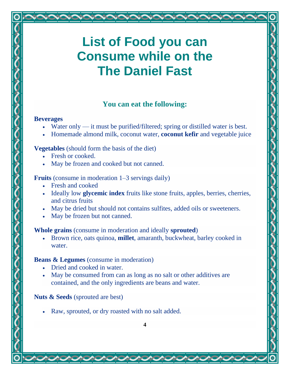# **List of Food you can Consume while on the The Daniel Fast**

### **You can eat the following:**

### **Beverages**

- Water only it must be purified/filtered; spring or distilled water is best.
- Homemade almond milk, coconut water, **[coconut](https://draxe.com/coconut-kefir/) kefir** and vegetable juice

### **Vegetables** (should form the basis of the diet)

- Fresh or cooked.
- May be frozen and cooked but not canned.

### **Fruits** (consume in moderation 1–3 servings daily)

- Fresh and cooked
- Ideally low **[glycemic](https://draxe.com/glycemic-index-glycemic-load-discover-what-both-are-all-about/) index** fruits like stone fruits, apples, berries, cherries, and citrus fruits
- May be dried but should not contains sulfites, added oils or sweeteners.
- May be frozen but not canned.

### **Whole grains** (consume in moderation and ideally **[sprouted](https://draxe.com/sprout/)**)

• Brown rice, oats quinoa, **[millet](https://draxe.com/millet-recipes/)**, amaranth, buckwheat, barley cooked in water.

### **Beans & Legumes** (consume in moderation)

- Dried and cooked in water.
- May be consumed from can as long as no salt or other additives are contained, and the only ingredients are beans and water.

### **Nuts & Seeds** (sprouted are best)

• Raw, sprouted, or dry roasted with no salt added.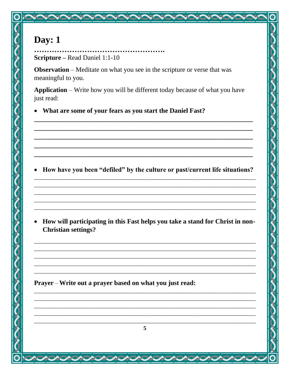### **Scripture – Read Daniel 1:1-10**

**Observation** – Meditate on what you see in the scripture or verse that was meaningful to you.

Application - Write how you will be different today because of what you have just read:

• What are some of your fears as you start the Daniel Fast?

• How have you been "defiled" by the culture or past/current life situations?

• How will participating in this Fast helps you take a stand for Christ in non-**Christian settings?**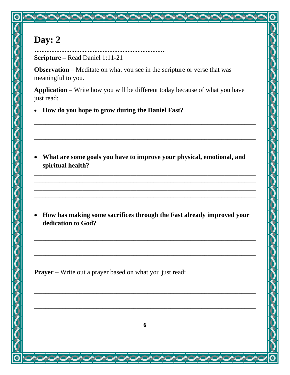## **Scripture** – Read Daniel 1:11-21

**Observation** – Meditate on what you see in the scripture or verse that was meaningful to you.

Application - Write how you will be different today because of what you have just read:

• How do you hope to grow during the Daniel Fast?

• What are some goals you have to improve your physical, emotional, and spiritual health?

• How has making some sacrifices through the Fast already improved your dedication to God?

**Prayer** – Write out a prayer based on what you just read: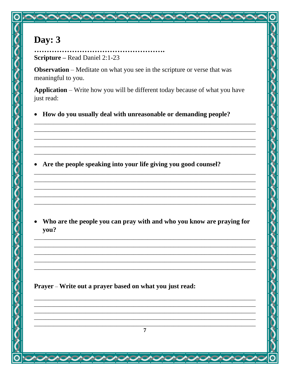## **Scripture** – Read Daniel 2:1-23

**Observation** – Meditate on what you see in the scripture or verse that was meaningful to you.

Application - Write how you will be different today because of what you have just read:

How do you usually deal with unreasonable or demanding people?  $\bullet$ 

• Are the people speaking into your life giving you good counsel?

Who are the people you can pray with and who you know are praying for you?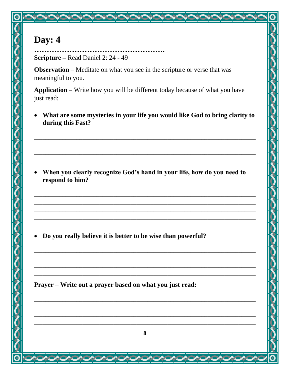**Scripture** – Read Daniel 2: 24 - 49

**Observation** – Meditate on what you see in the scripture or verse that was meaningful to you.

Application - Write how you will be different today because of what you have just read:

• What are some mysteries in your life you would like God to bring clarity to during this Fast?

• When you clearly recognize God's hand in your life, how do you need to respond to him?

• Do you really believe it is better to be wise than powerful?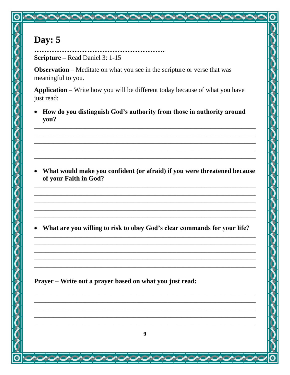### . . . . . . . . . . . . . . . . . . . **Scripture** – Read Daniel 3: 1-15

**Observation** – Meditate on what you see in the scripture or verse that was meaningful to you.

Application - Write how you will be different today because of what you have just read:

How do you distinguish God's authority from those in authority around you?

• What would make you confident (or afraid) if you were threatened because of your Faith in God?

• What are you willing to risk to obey God's clear commands for your life?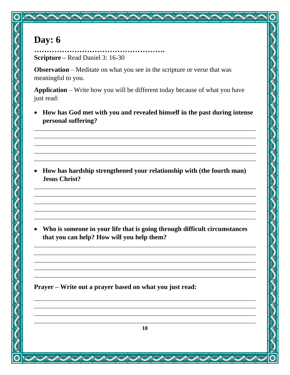. . . . . . . . . . . . . . . . . **Scripture** – Read Daniel 3: 16-30

**Observation** – Meditate on what you see in the scripture or verse that was meaningful to you.

Application - Write how you will be different today because of what you have just read:

• How has God met with you and revealed himself in the past during intense personal suffering?

• How has hardship strengthened your relationship with (the fourth man) **Jesus Christ?** 

• Who is someone in your life that is going through difficult circumstances that you can help? How will you help them?

and the control of the control of the control of the control of the control of the control of the control of the

Prayer – Write out a prayer based on what you just read:

10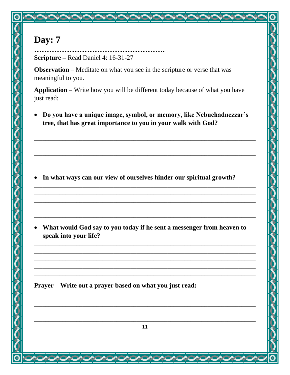**Scripture** – Read Daniel 4: 16-31-27

**Observation** – Meditate on what you see in the scripture or verse that was meaningful to you.

Application - Write how you will be different today because of what you have just read:

• Do you have a unique image, symbol, or memory, like Nebuchadnezzar's tree, that has great importance to you in your walk with God?

• In what ways can our view of ourselves hinder our spiritual growth?

• What would God say to you today if he sent a messenger from heaven to speak into your life?